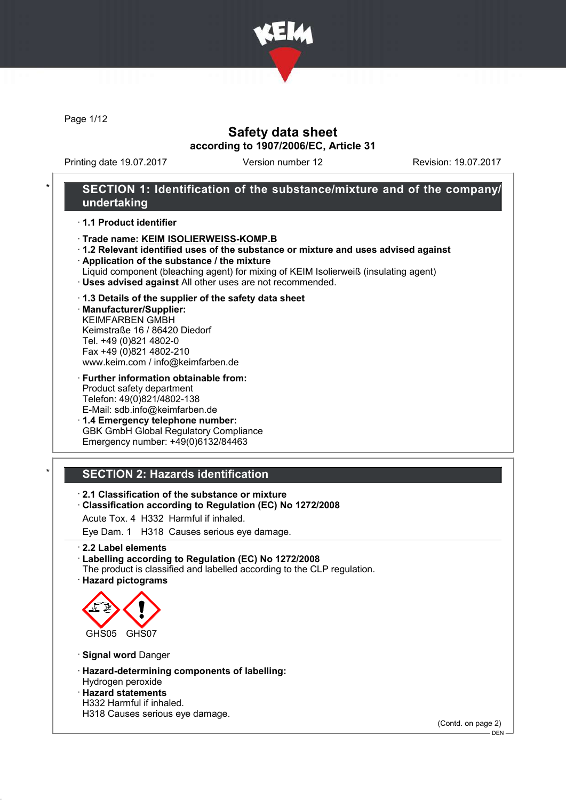

Page 1/12

# Safety data sheet according to 1907/2006/EC, Article 31

Printing date 19.07.2017 Version number 12 Revision: 19.07.2017

## SECTION 1: Identification of the substance/mixture and of the company/ undertaking

#### · 1.1 Product identifier

- · Trade name: KEIM ISOLIERWEISS-KOMP.B
- · 1.2 Relevant identified uses of the substance or mixture and uses advised against
- · Application of the substance / the mixture
- Liquid component (bleaching agent) for mixing of KEIM Isolierweiß (insulating agent)
- · Uses advised against All other uses are not recommended.

#### · 1.3 Details of the supplier of the safety data sheet

· Manufacturer/Supplier: KEIMFARBEN GMBH Keimstraße 16 / 86420 Diedorf Tel. +49 (0)821 4802-0 Fax +49 (0)821 4802-210 www.keim.com / info@keimfarben.de

· Further information obtainable from: Product safety department Telefon: 49(0)821/4802-138 E-Mail: sdb.info@keimfarben.de

· 1.4 Emergency telephone number: GBK GmbH Global Regulatory Compliance Emergency number: +49(0)6132/84463

# **SECTION 2: Hazards identification**

· 2.1 Classification of the substance or mixture

· Classification according to Regulation (EC) No 1272/2008

Acute Tox. 4 H332 Harmful if inhaled.

Eye Dam. 1 H318 Causes serious eye damage.

· 2.2 Label elements

- · Labelling according to Regulation (EC) No 1272/2008
- The product is classified and labelled according to the CLP regulation.
- · Hazard pictograms



· Signal word Danger

· Hazard-determining components of labelling:

#### Hydrogen peroxide · Hazard statements

H332 Harmful if inhaled.

H318 Causes serious eye damage.

(Contd. on page 2)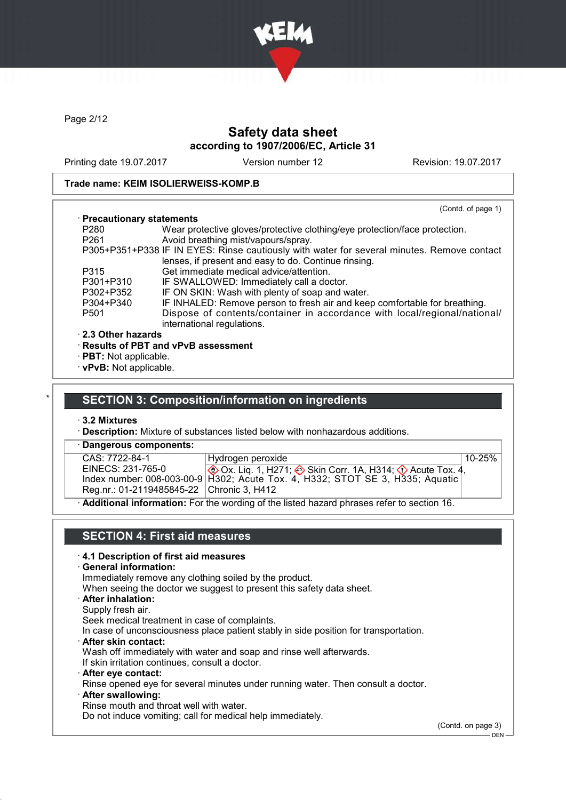

Page 2/12

# Safety data sheet according to 1907/2006/EC, Article 31

Printing date 19.07.2017 Version number 12 Revision: 19.07.2017

#### Trade name: KEIM ISOLIERWEISS-KOMP.B

|                            | (Contd. of page 1)                                                                                      |
|----------------------------|---------------------------------------------------------------------------------------------------------|
| · Precautionary statements |                                                                                                         |
| P280                       | Wear protective gloves/protective clothing/eye protection/face protection.                              |
| P <sub>261</sub>           | Avoid breathing mist/vapours/spray.                                                                     |
|                            | P305+P351+P338 IF IN EYES: Rinse cautiously with water for several minutes. Remove contact              |
|                            | lenses, if present and easy to do. Continue rinsing.                                                    |
| P315                       | Get immediate medical advice/attention.                                                                 |
| P301+P310                  | IF SWALLOWED: Immediately call a doctor.                                                                |
| P302+P352                  | IF ON SKIN: Wash with plenty of soap and water.                                                         |
| P304+P340                  | IF INHALED: Remove person to fresh air and keep comfortable for breathing.                              |
| P <sub>501</sub>           | Dispose of contents/container in accordance with local/regional/national/<br>international regulations. |
| $\cdot$ 2.3 Other hazards  |                                                                                                         |
|                            | · Results of PBT and vPvB assessment                                                                    |
| · PBT: Not applicable.     |                                                                                                         |

· vPvB: Not applicable.

### **SECTION 3: Composition/information on ingredients**

#### · 3.2 Mixtures

· Description: Mixture of substances listed below with nonhazardous additions.

| · Dangerous components:                   |                                                                                                            |            |
|-------------------------------------------|------------------------------------------------------------------------------------------------------------|------------|
| CAS: 7722-84-1                            | Hydrogen peroxide                                                                                          | $10 - 25%$ |
| EINECS: 231-765-0                         | <b>① Ox. Lig. 1, H271; ② Skin Corr. 1A, H314; ① Acute Tox. 4,</b>                                          |            |
|                                           | Index number: 008-003-00-9   H302; Acute Tox. 4, H332; STOT SE 3, H335; Aquatic                            |            |
| Reg.nr.: 01-2119485845-22 Chronic 3, H412 |                                                                                                            |            |
|                                           | A statistical to form of the Fourth concentral of the Rote discussed above a concentrate contract $A \cap$ |            |

· Additional information: For the wording of the listed hazard phrases refer to section 16.

## SECTION 4: First aid measures

#### · 4.1 Description of first aid measures

· General information:

Immediately remove any clothing soiled by the product.

When seeing the doctor we suggest to present this safety data sheet.

- · After inhalation:
- Supply fresh air.

Seek medical treatment in case of complaints.

In case of unconsciousness place patient stably in side position for transportation.

· After skin contact:

Wash off immediately with water and soap and rinse well afterwards.

If skin irritation continues, consult a doctor.

· After eye contact:

Rinse opened eye for several minutes under running water. Then consult a doctor.

· After swallowing:

Rinse mouth and throat well with water.

Do not induce vomiting; call for medical help immediately.

(Contd. on page 3)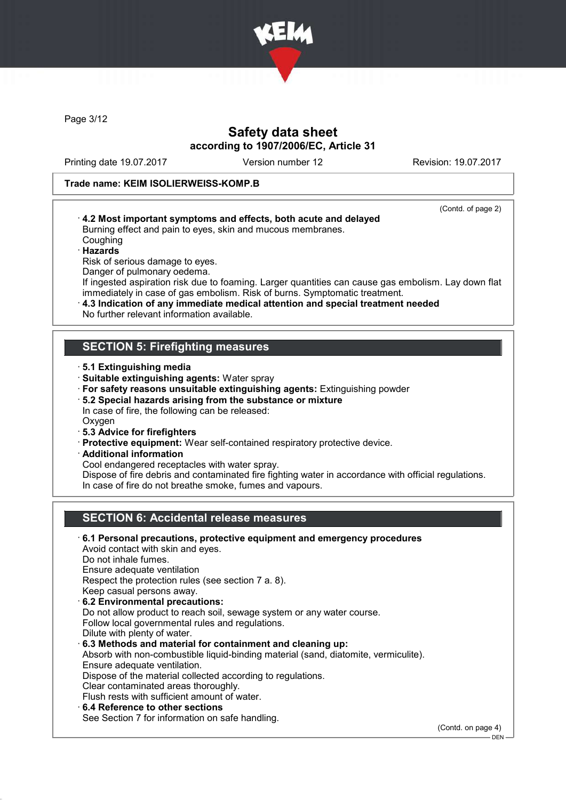

Page 3/12

# Safety data sheet according to 1907/2006/EC, Article 31

Printing date 19.07.2017 Version number 12 Revision: 19.07.2017

(Contd. of page 2)

#### Trade name: KEIM ISOLIERWEISS-KOMP.B

- · 4.2 Most important symptoms and effects, both acute and delayed Burning effect and pain to eyes, skin and mucous membranes. Coughing
- · Hazards Risk of serious damage to eyes.
- Danger of pulmonary oedema.

If ingested aspiration risk due to foaming. Larger quantities can cause gas embolism. Lay down flat immediately in case of gas embolism. Risk of burns. Symptomatic treatment.

· 4.3 Indication of any immediate medical attention and special treatment needed No further relevant information available.

# SECTION 5: Firefighting measures

- · 5.1 Extinguishing media
- · Suitable extinguishing agents: Water spray
- · For safety reasons unsuitable extinguishing agents: Extinguishing powder
- · 5.2 Special hazards arising from the substance or mixture
- In case of fire, the following can be released:
- **Oxygen**
- · 5.3 Advice for firefighters
- · Protective equipment: Wear self-contained respiratory protective device.
- · Additional information
- Cool endangered receptacles with water spray.

Dispose of fire debris and contaminated fire fighting water in accordance with official regulations. In case of fire do not breathe smoke, fumes and vapours.

# SECTION 6: Accidental release measures

· 6.1 Personal precautions, protective equipment and emergency procedures Avoid contact with skin and eyes. Do not inhale fumes. Ensure adequate ventilation Respect the protection rules (see section 7 a. 8). Keep casual persons away. · 6.2 Environmental precautions: Do not allow product to reach soil, sewage system or any water course. Follow local governmental rules and regulations. Dilute with plenty of water. · 6.3 Methods and material for containment and cleaning up: Absorb with non-combustible liquid-binding material (sand, diatomite, vermiculite). Ensure adequate ventilation. Dispose of the material collected according to regulations. Clear contaminated areas thoroughly. Flush rests with sufficient amount of water. 6.4 Reference to other sections See Section 7 for information on safe handling.

(Contd. on page 4)

DEN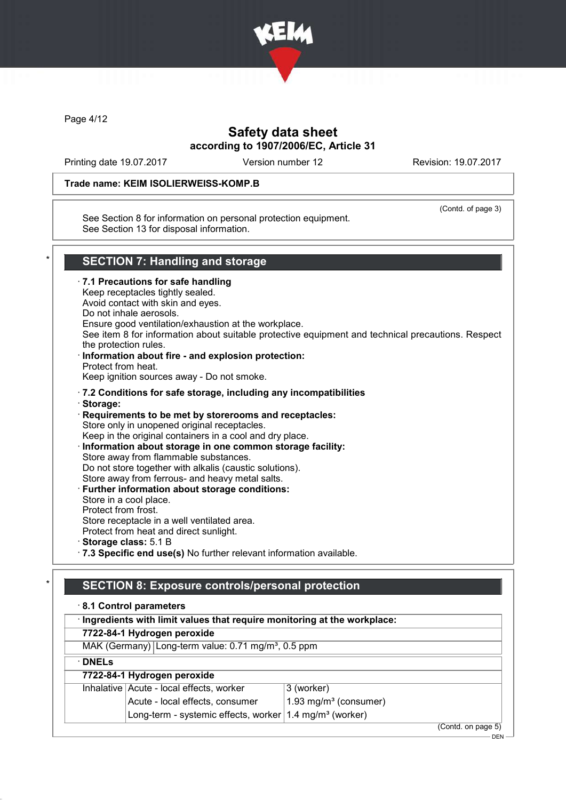

Page 4/12

# Safety data sheet according to 1907/2006/EC, Article 31

Printing date 19.07.2017 Version number 12 Revision: 19.07.2017

(Contd. of page 3)

### Trade name: KEIM ISOLIERWEISS-KOMP.B

See Section 8 for information on personal protection equipment. See Section 13 for disposal information.

## SECTION 7: Handling and storage

· 7.1 Precautions for safe handling Keep receptacles tightly sealed. Avoid contact with skin and eyes. Do not inhale aerosols. Ensure good ventilation/exhaustion at the workplace. See item 8 for information about suitable protective equipment and technical precautions. Respect the protection rules. · Information about fire - and explosion protection: Protect from heat. Keep ignition sources away - Do not smoke. · 7.2 Conditions for safe storage, including any incompatibilities · Storage: · Requirements to be met by storerooms and receptacles: Store only in unopened original receptacles. Keep in the original containers in a cool and dry place. · Information about storage in one common storage facility: Store away from flammable substances. Do not store together with alkalis (caustic solutions). Store away from ferrous- and heavy metal salts. Further information about storage conditions: Store in a cool place. Protect from frost. Store receptacle in a well ventilated area. Protect from heat and direct sunlight. · Storage class: 5.1 B · 7.3 Specific end use(s) No further relevant information available.

# SECTION 8: Exposure controls/personal protection

#### · 8.1 Control parameters

|               | <b>U.I OUTILIUI DUIUITUCIU</b>                                            |                          |
|---------------|---------------------------------------------------------------------------|--------------------------|
|               | · Ingredients with limit values that require monitoring at the workplace: |                          |
|               | 7722-84-1 Hydrogen peroxide                                               |                          |
|               | MAK (Germany) Long-term value: 0.71 mg/m <sup>3</sup> , 0.5 ppm           |                          |
| $\cdot$ DNELs |                                                                           |                          |
|               | 7722-84-1 Hydrogen peroxide                                               |                          |
|               | Inhalative Acute - local effects, worker                                  | 3 (worker)               |
|               | Acute - local effects, consumer                                           | 1.93 mg/ $m3$ (consumer) |
|               | Long-term - systemic effects, worker $1.4 \text{ mg/m}^3$ (worker)        |                          |
|               |                                                                           | (Contd. on page 5)       |
|               |                                                                           | DEN                      |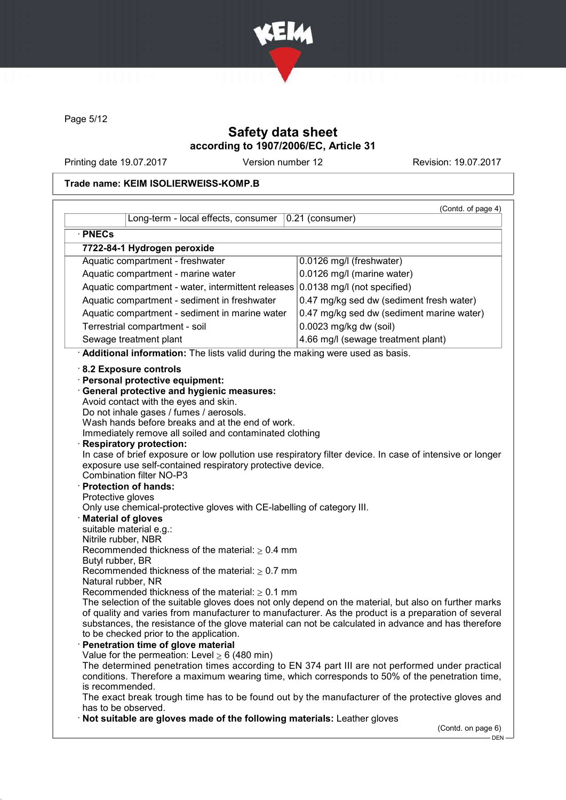

Page 5/12

# Safety data sheet according to 1907/2006/EC, Article 31

Printing date 19.07.2017 Version number 12 Revision: 19.07.2017

# Trade name: KEIM ISOLIERWEISS-KOMP.B

|                                                                                                                                                                                                                                                                                                                                                                                                                                                                                                                                                                                                                                                                                                                                                                                                               | (Contd. of page 4)                        |
|---------------------------------------------------------------------------------------------------------------------------------------------------------------------------------------------------------------------------------------------------------------------------------------------------------------------------------------------------------------------------------------------------------------------------------------------------------------------------------------------------------------------------------------------------------------------------------------------------------------------------------------------------------------------------------------------------------------------------------------------------------------------------------------------------------------|-------------------------------------------|
| Long-term - local effects, consumer                                                                                                                                                                                                                                                                                                                                                                                                                                                                                                                                                                                                                                                                                                                                                                           | $0.21$ (consumer)                         |
| · PNECs                                                                                                                                                                                                                                                                                                                                                                                                                                                                                                                                                                                                                                                                                                                                                                                                       |                                           |
| 7722-84-1 Hydrogen peroxide                                                                                                                                                                                                                                                                                                                                                                                                                                                                                                                                                                                                                                                                                                                                                                                   |                                           |
| Aquatic compartment - freshwater                                                                                                                                                                                                                                                                                                                                                                                                                                                                                                                                                                                                                                                                                                                                                                              | 0.0126 mg/l (freshwater)                  |
| Aquatic compartment - marine water                                                                                                                                                                                                                                                                                                                                                                                                                                                                                                                                                                                                                                                                                                                                                                            | 0.0126 mg/l (marine water)                |
| Aquatic compartment - water, intermittent releases 0.0138 mg/l (not specified)                                                                                                                                                                                                                                                                                                                                                                                                                                                                                                                                                                                                                                                                                                                                |                                           |
| Aquatic compartment - sediment in freshwater                                                                                                                                                                                                                                                                                                                                                                                                                                                                                                                                                                                                                                                                                                                                                                  | 0.47 mg/kg sed dw (sediment fresh water)  |
| Aquatic compartment - sediment in marine water                                                                                                                                                                                                                                                                                                                                                                                                                                                                                                                                                                                                                                                                                                                                                                | 0.47 mg/kg sed dw (sediment marine water) |
| Terrestrial compartment - soil                                                                                                                                                                                                                                                                                                                                                                                                                                                                                                                                                                                                                                                                                                                                                                                | 0.0023 mg/kg dw (soil)                    |
| Sewage treatment plant                                                                                                                                                                                                                                                                                                                                                                                                                                                                                                                                                                                                                                                                                                                                                                                        | 4.66 mg/l (sewage treatment plant)        |
| · Additional information: The lists valid during the making were used as basis.                                                                                                                                                                                                                                                                                                                                                                                                                                                                                                                                                                                                                                                                                                                               |                                           |
| Wash hands before breaks and at the end of work.<br>Immediately remove all soiled and contaminated clothing<br><b>Respiratory protection:</b><br>In case of brief exposure or low pollution use respiratory filter device. In case of intensive or longer<br>exposure use self-contained respiratory protective device.<br><b>Combination filter NO-P3</b><br>· Protection of hands:<br>Protective gloves<br>Only use chemical-protective gloves with CE-labelling of category III.<br><b>Material of gloves</b><br>suitable material e.g.:<br>Nitrile rubber, NBR<br>Recommended thickness of the material: $\geq 0.4$ mm<br>Butyl rubber, BR<br>Recommended thickness of the material: $\geq 0.7$ mm<br>Natural rubber, NR<br>Recommended thickness of the material: $\geq 0.1$ mm                          |                                           |
| The selection of the suitable gloves does not only depend on the material, but also on further marks<br>of quality and varies from manufacturer to manufacturer. As the product is a preparation of several<br>substances, the resistance of the glove material can not be calculated in advance and has therefore<br>to be checked prior to the application.<br>Penetration time of glove material<br>Value for the permeation: Level $\geq 6$ (480 min)<br>The determined penetration times according to EN 374 part III are not performed under practical<br>conditions. Therefore a maximum wearing time, which corresponds to 50% of the penetration time,<br>is recommended.<br>The exact break trough time has to be found out by the manufacturer of the protective gloves and<br>has to be observed. |                                           |
| Not suitable are gloves made of the following materials: Leather gloves                                                                                                                                                                                                                                                                                                                                                                                                                                                                                                                                                                                                                                                                                                                                       | (Contd. on page 6)                        |

 $-$  DEN  $-$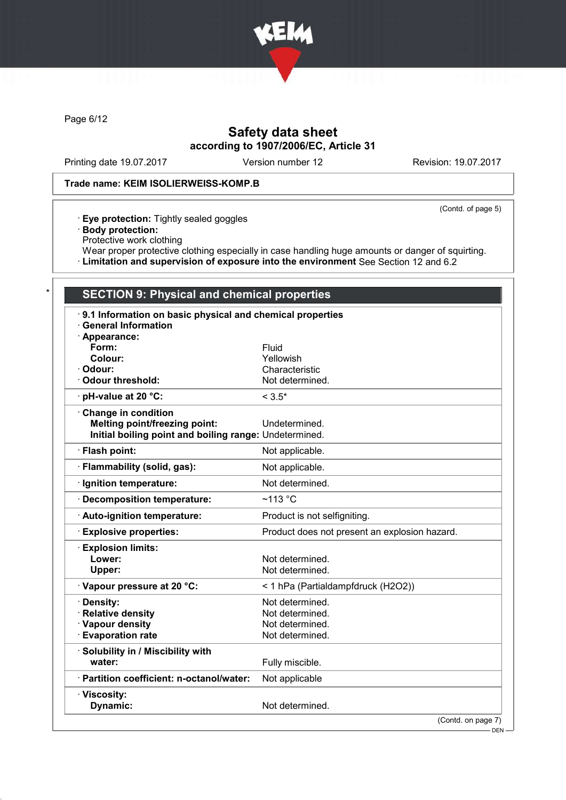

Page 6/12

# Safety data sheet according to 1907/2006/EC, Article 31

Printing date 19.07.2017 Version number 12 Revision: 19.07.2017

### Trade name: KEIM ISOLIERWEISS-KOMP.B

(Contd. of page 5)

- · Eye protection: Tightly sealed goggles
- · Body protection:
- Protective work clothing
- Wear proper protective clothing especially in case handling huge amounts or danger of squirting.
- · Limitation and supervision of exposure into the environment See Section 12 and 6.2

## SECTION 9: Physical and chemical properties

| 9.1 Information on basic physical and chemical properties |                                               |
|-----------------------------------------------------------|-----------------------------------------------|
| <b>General Information</b>                                |                                               |
| · Appearance:<br>Form:                                    | Fluid                                         |
| Colour:                                                   | Yellowish                                     |
| Odour:                                                    | Characteristic                                |
| <b>Odour threshold:</b>                                   | Not determined.                               |
| $\cdot$ pH-value at 20 $\degree$ C:                       | $< 3.5*$                                      |
| Change in condition                                       |                                               |
| <b>Melting point/freezing point:</b>                      | Undetermined.                                 |
| Initial boiling point and boiling range: Undetermined.    |                                               |
| · Flash point:                                            | Not applicable.                               |
| · Flammability (solid, gas):                              | Not applicable.                               |
| Ignition temperature:                                     | Not determined.                               |
| <b>Decomposition temperature:</b>                         | $~113$ °C                                     |
| · Auto-ignition temperature:                              | Product is not selfigniting.                  |
| <b>Explosive properties:</b>                              | Product does not present an explosion hazard. |
| <b>Explosion limits:</b>                                  |                                               |
| Lower:                                                    | Not determined.                               |
| Upper:                                                    | Not determined.                               |
| · Vapour pressure at 20 °C:                               | < 1 hPa (Partialdampfdruck (H2O2))            |
| Density:                                                  | Not determined.                               |
| <b>Relative density</b>                                   | Not determined.                               |
| · Vapour density                                          | Not determined.                               |
| <b>Evaporation rate</b>                                   | Not determined.                               |
| · Solubility in / Miscibility with                        |                                               |
| water:                                                    | Fully miscible.                               |
| · Partition coefficient: n-octanol/water:                 | Not applicable                                |
| · Viscosity:                                              |                                               |
| Dynamic:                                                  | Not determined.                               |
|                                                           | (Contd. on page 7)                            |
|                                                           | DEN -                                         |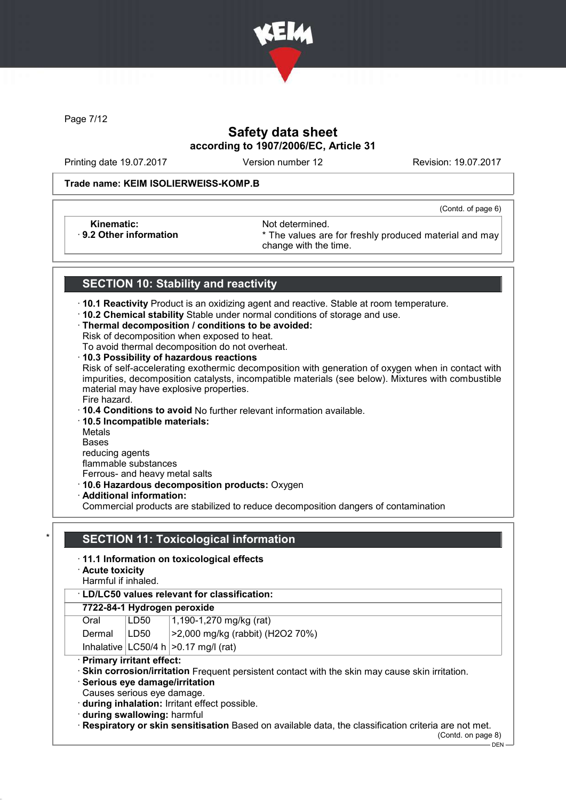

Page 7/12

# Safety data sheet according to 1907/2006/EC, Article 31

Printing date 19.07.2017 Version number 12 Revision: 19.07.2017

(Contd. of page 6)

#### Trade name: KEIM ISOLIERWEISS-KOMP.B

Kinematic: Not determined.<br>B. 2 Other information **Accord 1998** The values are

\* The values are for freshly produced material and may change with the time.

# SECTION 10: Stability and reactivity

· 10.1 Reactivity Product is an oxidizing agent and reactive. Stable at room temperature.

· 10.2 Chemical stability Stable under normal conditions of storage and use.

### · Thermal decomposition / conditions to be avoided:

Risk of decomposition when exposed to heat.

To avoid thermal decomposition do not overheat.

### · 10.3 Possibility of hazardous reactions

Risk of self-accelerating exothermic decomposition with generation of oxygen when in contact with impurities, decomposition catalysts, incompatible materials (see below). Mixtures with combustible material may have explosive properties.

#### Fire hazard.

· 10.4 Conditions to avoid No further relevant information available.

### · 10.5 Incompatible materials:

Metals

Bases

reducing agents

flammable substances

Ferrous- and heavy metal salts

- · 10.6 Hazardous decomposition products: Oxygen
- · Additional information:

Commercial products are stabilized to reduce decomposition dangers of contamination

# **SECTION 11: Toxicological information**

### · 11.1 Information on toxicological effects

- · Acute toxicity
- Harmful if inhaled.

### 7722-84-1 Hydrogen peroxide

| Oral          | LD50 | $1,190-1,270$ mg/kg (rat)                 |
|---------------|------|-------------------------------------------|
| Dermal   LD50 |      | >2,000 mg/kg (rabbit) (H2O2 70%)          |
|               |      | Inhalative $ LC50/4 h  > 0.17$ mg/l (rat) |

#### **Primary irritant effect:**

· Skin corrosion/irritation Frequent persistent contact with the skin may cause skin irritation.

· Serious eye damage/irritation

Causes serious eye damage.

· during inhalation: Irritant effect possible.

· during swallowing: harmful

· Respiratory or skin sensitisation Based on available data, the classification criteria are not met.

(Contd. on page 8) DEN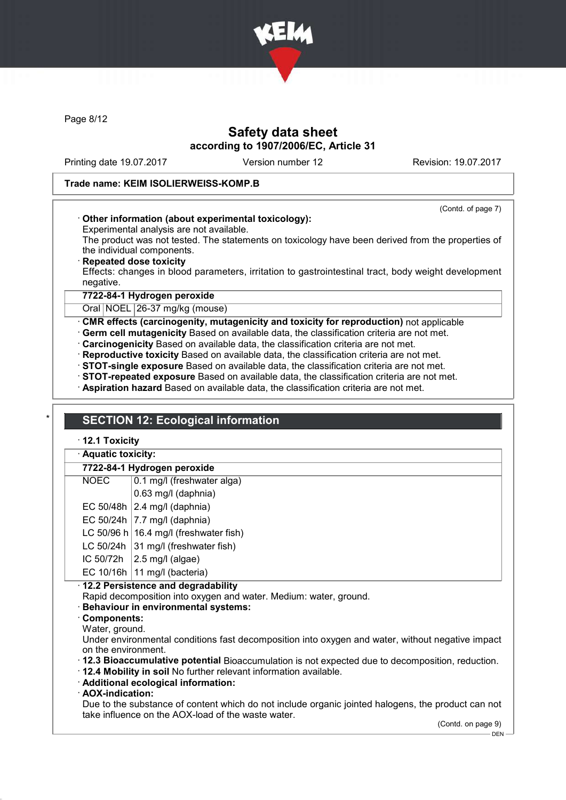

Page 8/12

# Safety data sheet according to 1907/2006/EC, Article 31

Printing date 19.07.2017 Version number 12 Revision: 19.07.2017

(Contd. of page 7)

#### Trade name: KEIM ISOLIERWEISS-KOMP.B

### · Other information (about experimental toxicology):

Experimental analysis are not available. The product was not tested. The statements on toxicology have been derived from the properties of the individual components.

**Repeated dose toxicity** 

Effects: changes in blood parameters, irritation to gastrointestinal tract, body weight development negative.

# 7722-84-1 Hydrogen peroxide

Oral NOEL 26-37 mg/kg (mouse)

· CMR effects (carcinogenity, mutagenicity and toxicity for reproduction) not applicable

- · Germ cell mutagenicity Based on available data, the classification criteria are not met.
- · Carcinogenicity Based on available data, the classification criteria are not met.
- · Reproductive toxicity Based on available data, the classification criteria are not met.
- · STOT-single exposure Based on available data, the classification criteria are not met.
- · STOT-repeated exposure Based on available data, the classification criteria are not met.
- · Aspiration hazard Based on available data, the classification criteria are not met.

## **SECTION 12: Ecological information**

#### · 12.1 Toxicity

| · Aquatic toxicity: |  |
|---------------------|--|
|---------------------|--|

### 7722-84-1 Hydrogen peroxide

- NOEC 0.1 mg/l (freshwater alga)
- 0.63 mg/l (daphnia)
- EC 50/48h  $\vert$  2.4 mg/l (daphnia)
- EC 50/24h  $|7.7 \text{ mg/II}$  (daphnia)
- LC 50/96 h 16.4 mg/l (freshwater fish)
- LC 50/24h  $|31 \text{ mod}$  (freshwater fish)
- IC 50/72h  $\vert$  2.5 mg/l (algae)
- EC 10/16h  $|11 \text{ mg/l}$  (bacteria)

### · 12.2 Persistence and degradability

- Rapid decomposition into oxygen and water. Medium: water, ground.
- Behaviour in environmental systems:
- Components:
- Water, ground.

Under environmental conditions fast decomposition into oxygen and water, without negative impact on the environment.

- · 12.3 Bioaccumulative potential Bioaccumulation is not expected due to decomposition, reduction.
- · 12.4 Mobility in soil No further relevant information available.
- · Additional ecological information:
- · AOX-indication:

Due to the substance of content which do not include organic jointed halogens, the product can not take influence on the AOX-load of the waste water.

(Contd. on page 9)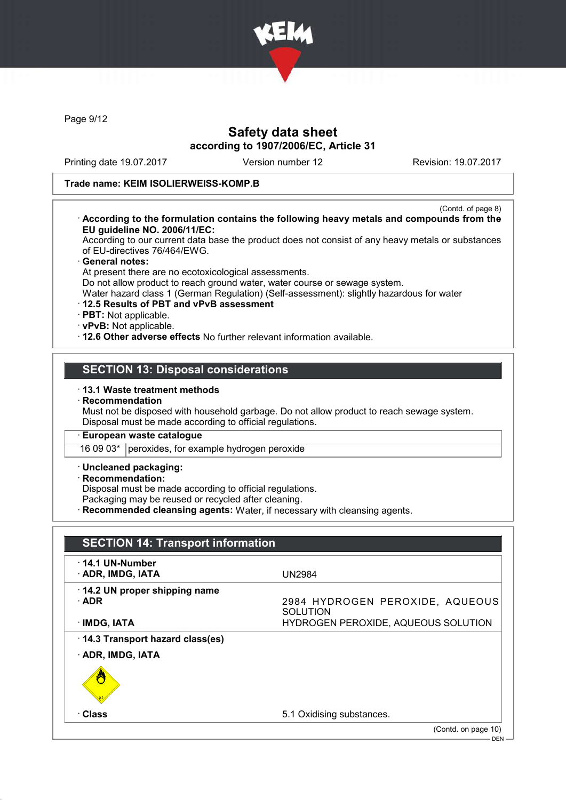

Page 9/12

# Safety data sheet according to 1907/2006/EC, Article 31

Printing date 19.07.2017 Version number 12 Revision: 19.07.2017

#### Trade name: KEIM ISOLIERWEISS-KOMP.B

(Contd. of page 8) · According to the formulation contains the following heavy metals and compounds from the EU guideline NO. 2006/11/EC:

According to our current data base the product does not consist of any heavy metals or substances of EU-directives 76/464/EWG.

#### General notes:

At present there are no ecotoxicological assessments.

Do not allow product to reach ground water, water course or sewage system.

Water hazard class 1 (German Regulation) (Self-assessment): slightly hazardous for water

- · 12.5 Results of PBT and vPvB assessment
- · PBT: Not applicable.
- · vPvB: Not applicable.
- · 12.6 Other adverse effects No further relevant information available.

# SECTION 13: Disposal considerations

· 13.1 Waste treatment methods

#### · Recommendation

Must not be disposed with household garbage. Do not allow product to reach sewage system. Disposal must be made according to official regulations.

#### · European waste catalogue

16 09 03\* peroxides, for example hydrogen peroxide

# · Uncleaned packaging:

· Recommendation:

Disposal must be made according to official regulations.

Packaging may be reused or recycled after cleaning.

· Recommended cleansing agents: Water, if necessary with cleansing agents.

| $\cdot$ 14.1 UN-Number          |                                                    |
|---------------------------------|----------------------------------------------------|
| · ADR, IMDG, IATA               | <b>UN2984</b>                                      |
| 14.2 UN proper shipping name    |                                                    |
| $\cdot$ ADR                     | 2984 HYDROGEN PEROXIDE, AQUEOUS<br><b>SOLUTION</b> |
| · IMDG, IATA                    | HYDROGEN PEROXIDE, AQUEOUS SOLUTION                |
| 14.3 Transport hazard class(es) |                                                    |
| · ADR, IMDG, IATA               |                                                    |
|                                 |                                                    |
|                                 |                                                    |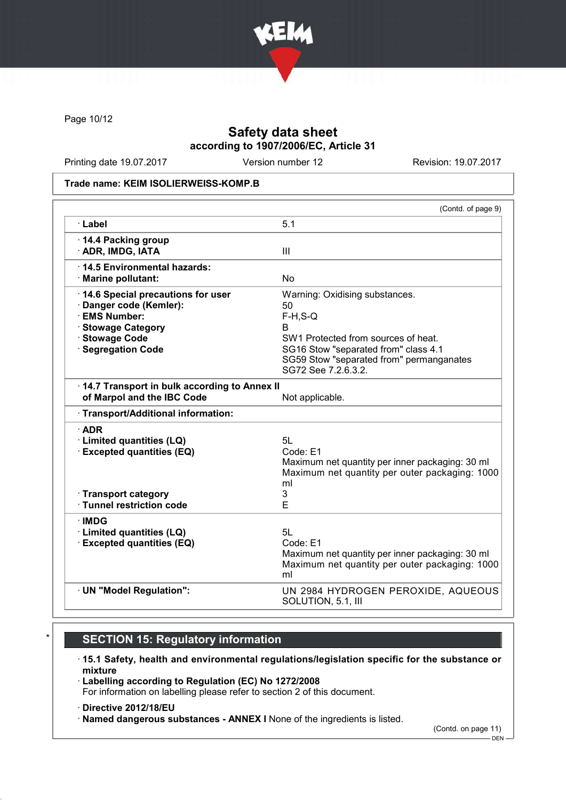

Page 10/12

# Safety data sheet according to 1907/2006/EC, Article 31

Printing date 19.07.2017 Version number 12 Revision: 19.07.2017

#### Trade name: KEIM ISOLIERWEISS-KOMP.B

|                                                                                                                                             | (Contd. of page 9)                                                                                                                                                                                         |
|---------------------------------------------------------------------------------------------------------------------------------------------|------------------------------------------------------------------------------------------------------------------------------------------------------------------------------------------------------------|
| · Label                                                                                                                                     | 5.1                                                                                                                                                                                                        |
| 14.4 Packing group<br>· ADR, IMDG, IATA                                                                                                     | III                                                                                                                                                                                                        |
| · 14.5 Environmental hazards:<br>· Marine pollutant:                                                                                        | No                                                                                                                                                                                                         |
| 14.6 Special precautions for user<br>· Danger code (Kemler):<br>· EMS Number:<br>· Stowage Category<br>· Stowage Code<br>· Segregation Code | Warning: Oxidising substances.<br>50<br>$F-H, S-Q$<br>R.<br>SW1 Protected from sources of heat.<br>SG16 Stow "separated from" class 4.1<br>SG59 Stow "separated from" permanganates<br>SG72 See 7.2.6.3.2. |
| 14.7 Transport in bulk according to Annex II<br>of Marpol and the IBC Code                                                                  | Not applicable.                                                                                                                                                                                            |
| · Transport/Additional information:                                                                                                         |                                                                                                                                                                                                            |
| $\cdot$ ADR<br>· Limited quantities (LQ)<br><b>Excepted quantities (EQ)</b><br>· Transport category<br>· Tunnel restriction code            | 5L<br>Code: E1<br>Maximum net quantity per inner packaging: 30 ml<br>Maximum net quantity per outer packaging: 1000<br>ml<br>3<br>E                                                                        |
| ∙IMDG                                                                                                                                       |                                                                                                                                                                                                            |
| · Limited quantities (LQ)<br><b>Excepted quantities (EQ)</b>                                                                                | 5L<br>Code: E1<br>Maximum net quantity per inner packaging: 30 ml<br>Maximum net quantity per outer packaging: 1000<br>ml                                                                                  |
| · UN "Model Regulation":                                                                                                                    | UN 2984 HYDROGEN PEROXIDE, AQUEOUS<br>SOLUTION, 5.1, III                                                                                                                                                   |

# **SECTION 15: Regulatory information**

### · 15.1 Safety, health and environmental regulations/legislation specific for the substance or mixture

· Labelling according to Regulation (EC) No 1272/2008 For information on labelling please refer to section 2 of this document.

· Directive 2012/18/EU

· Named dangerous substances - ANNEX I None of the ingredients is listed.

(Contd. on page 11)

DEN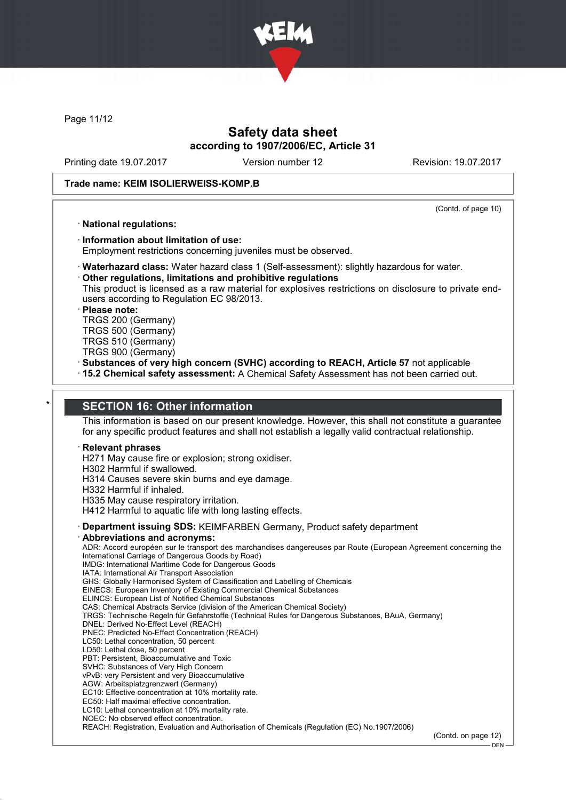

Page 11/12

# Safety data sheet according to 1907/2006/EC, Article 31

Printing date 19.07.2017 Version number 12 Revision: 19.07.2017

#### Trade name: KEIM ISOLIERWEISS-KOMP.B

(Contd. of page 10)

#### · National regulations:

# · Information about limitation of use:

Employment restrictions concerning juveniles must be observed.

· Waterhazard class: Water hazard class 1 (Self-assessment): slightly hazardous for water.

Other regulations, limitations and prohibitive regulations

This product is licensed as a raw material for explosives restrictions on disclosure to private endusers according to Regulation EC 98/2013.

#### Please note:

TRGS 200 (Germany) TRGS 500 (Germany)

- TRGS 510 (Germany)
- TRGS 900 (Germany)
- · Substances of very high concern (SVHC) according to REACH, Article 57 not applicable
- · 15.2 Chemical safety assessment: A Chemical Safety Assessment has not been carried out.

## **SECTION 16: Other information**

This information is based on our present knowledge. However, this shall not constitute a guarantee for any specific product features and shall not establish a legally valid contractual relationship.

#### **Relevant phrases**

H271 May cause fire or explosion; strong oxidiser.

- H302 Harmful if swallowed.
- H314 Causes severe skin burns and eye damage.
- H332 Harmful if inhaled.
- H335 May cause respiratory irritation.

H412 Harmful to aquatic life with long lasting effects.

- · Department issuing SDS: KEIMFARBEN Germany, Product safety department
- Abbreviations and acronyms:

ADR: Accord européen sur le transport des marchandises dangereuses par Route (European Agreement concerning the International Carriage of Dangerous Goods by Road)

- IMDG: International Maritime Code for Dangerous Goods
- IATA: International Air Transport Association
- GHS: Globally Harmonised System of Classification and Labelling of Chemicals
- EINECS: European Inventory of Existing Commercial Chemical Substances ELINCS: European List of Notified Chemical Substances
- CAS: Chemical Abstracts Service (division of the American Chemical Society)
- TRGS: Technische Regeln für Gefahrstoffe (Technical Rules for Dangerous Substances, BAuA, Germany)
- DNEL: Derived No-Effect Level (REACH)
- PNEC: Predicted No-Effect Concentration (REACH)
- LC50: Lethal concentration, 50 percent
- LD50: Lethal dose, 50 percent
- PBT: Persistent, Bioaccumulative and Toxic SVHC: Substances of Very High Concern
- vPvB: very Persistent and very Bioaccumulative
- AGW: Arbeitsplatzgrenzwert (Germany)
- EC10: Effective concentration at 10% mortality rate.
- EC50: Half maximal effective concentration.
- LC10: Lethal concentration at 10% mortality rate.
- NOEC: No observed effect concentration.

REACH: Registration, Evaluation and Authorisation of Chemicals (Regulation (EC) No.1907/2006)

(Contd. on page 12)

DEN